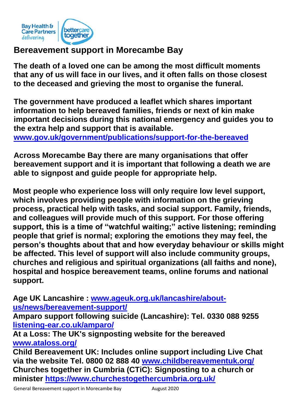

## **Bereavement support in Morecambe Bay**

**The death of a loved one can be among the most difficult moments that any of us will face in our lives, and it often falls on those closest to the deceased and grieving the most to organise the funeral.**

**The government have produced a leaflet which shares important information to help bereaved families, friends or next of kin make important decisions during this national emergency and guides you to the extra help and support that is available.**

**[www.gov.uk/government/publications/support-for-the-bereaved](http://www.gov.uk/government/publications/support-for-the-bereaved)**

**Across Morecambe Bay there are many organisations that offer bereavement support and it is important that following a death we are able to signpost and guide people for appropriate help.** 

**Most people who experience loss will only require low level support, which involves providing people with information on the grieving process, practical help with tasks, and social support. Family, friends, and colleagues will provide much of this support. For those offering support, this is a time of "watchful waiting;" active listening; reminding people that grief is normal; exploring the emotions they may feel, the person's thoughts about that and how everyday behaviour or skills might be affected. This level of support will also include community groups, churches and religious and spiritual organizations (all faiths and none), hospital and hospice bereavement teams, online forums and national support.** 

**Age UK Lancashire : [www.ageuk.org.uk/lancashire/about](http://www.ageuk.org.uk/lancashire/about-us/news/bereavement-support/)[us/news/bereavement-support/](http://www.ageuk.org.uk/lancashire/about-us/news/bereavement-support/)**

**Amparo support following suicide (Lancashire): Tel. 0330 088 9255 [listening-ear.co.uk/amparo/](https://listening-ear.co.uk/amparo/)**

**At a Loss: The UK's signposting website for the bereaved [www.ataloss.org/](http://www.ataloss.org/)**

**Child Bereavement UK: Includes online support including Live Chat via the website Tel. 0800 02 888 40 [www.childbereavementuk.org/](http://www.childbereavementuk.org/) Churches together in Cumbria (CTiC): Signposting to a church or minister<https://www.churchestogethercumbria.org.uk/>**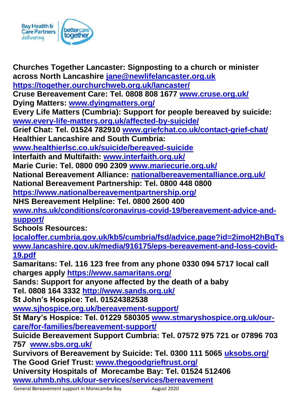

**Churches Together Lancaster: Signposting to a church or minister across North Lancashire [jane@newlifelancaster.org.uk](mailto:jane@newlifelancaster.org.uk) <https://together.ourchurchweb.org.uk/lancaster/> Cruse Bereavement Care: Tel. 0808 808 1677 [www.cruse.org.uk/](http://www.cruse.org.uk/) Dying Matters: [www.dyingmatters.org/](http://www.dyingmatters.org/) Every Life Matters (Cumbria): Support for people bereaved by suicide: [www.every-life-matters.org.uk/affected-by-suicide/](http://www.every-life-matters.org.uk/affected-by-suicide/) Grief Chat: Tel. 01524 782910 [www.griefchat.co.uk/contact-grief-chat/](http://www.griefchat.co.uk/contact-grief-chat/) Healthier Lancashire and South Cumbria: [www.healthierlsc.co.uk/suicide/bereaved-suicide](http://www.healthierlsc.co.uk/suicide/bereaved-suicide) Interfaith and Multifaith: [www.interfaith.org.uk/](http://www.interfaith.org.uk/) Marie Curie: Tel. 0800 090 2309 [www.mariecurie.org.uk/](http://www.mariecurie.org.uk/) National Bereavement Alliance: [nationalbereavementalliance.org.uk/](https://nationalbereavementalliance.org.uk/) National Bereavement Partnership: Tel. 0800 448 0800 <https://www.nationalbereavementpartnership.org/> NHS Bereavement Helpline: Tel. 0800 2600 400 [www.nhs.uk/conditions/coronavirus-covid-19/bereavement-advice-and](http://www.nhs.uk/conditions/coronavirus-covid-19/bereavement-advice-and-support/)[support/](http://www.nhs.uk/conditions/coronavirus-covid-19/bereavement-advice-and-support/) Schools Resources: [localoffer.cumbria.gov.uk/kb5/cumbria/fsd/advice.page?id=2imoH2hBqTs](file://///canlrli-vlnccg2/LNCCG/Community%20Services%20Development%202018%20onwards/Coronavirus%20(Covid%2019)/Covid-19%20End%20of%20Life/localoffer.cumbria.gov.uk/kb5/cumbria/fsd/advice.page%3fid=2imoH2hBqTs) [www.lancashire.gov.uk/media/916175/eps-bereavement-and-loss-covid-](http://www.lancashire.gov.uk/media/916175/eps-bereavement-and-loss-covid-19.pdf)[19.pdf](http://www.lancashire.gov.uk/media/916175/eps-bereavement-and-loss-covid-19.pdf) Samaritans: Tel. 116 123 free from any phone 0330 094 5717 local call charges apply<https://www.samaritans.org/> Sands: Support for anyone affected by the death of a baby Tel. 0808 164 3332<http://www.sands.org.uk/> St John's Hospice: Tel. 01524382538 www.sjhospice.org.uk/bereavement-support/ St Mary's Hospice: Tel. 01229 580305 [www.stmaryshospice.org.uk/our](http://www.stmaryshospice.org.uk/our-care/for-families/bereavement-support/)[care/for-families/bereavement-support/](http://www.stmaryshospice.org.uk/our-care/for-families/bereavement-support/) Suicide Bereavement Support Cumbria: Tel. 07572 975 721 or 07896 703 757 [www.sbs.org.uk/](http://www.sbs.org.uk/) Survivors of Bereavement by Suicide: Tel. 0300 111 5065 [uksobs.org/](https://uksobs.org/) The Good Grief Trust: [www.thegoodgrieftrust.org/](http://www.thegoodgrieftrust.org/) University Hospitals of Morecambe Bay: Tel. 01524 512406 [www.uhmb.nhs.uk/our-services/services/bereavement](http://www.uhmb.nhs.uk/our-services/services/bereavement)**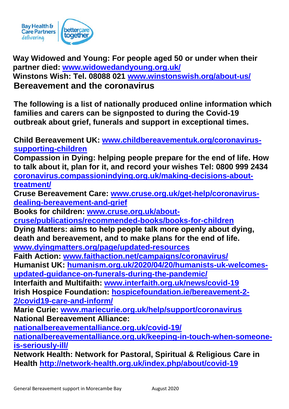

**Way Widowed and Young: For people aged 50 or under when their partner died: [www.widowedandyoung.org.uk/](http://www.widowedandyoung.org.uk/) Winstons Wish: Tel. 08088 021 [www.winstonswish.org/about-us/](http://www.winstonswish.org/about-us/) Bereavement and the coronavirus**

**The following is a list of nationally produced online information which families and carers can be signposted to during the Covid-19 outbreak about grief, funerals and support in exceptional times.**

**Child Bereavement UK: [www.childbereavementuk.org/coronavirus](http://www.childbereavementuk.org/coronavirus-supporting-children)[supporting-children](http://www.childbereavementuk.org/coronavirus-supporting-children) Compassion in Dying: helping people prepare for the end of life. How to talk about it, plan for it, and record your wishes Tel: 0800 999 2434 [coronavirus.compassionindying.org.uk/making-decisions-about](https://coronavirus.compassionindying.org.uk/making-decisions-about-treatment/)[treatment/](https://coronavirus.compassionindying.org.uk/making-decisions-about-treatment/)**

**Cruse Bereavement Care: [www.cruse.org.uk/get-help/coronavirus](http://www.cruse.org.uk/get-help/coronavirus-dealing-bereavement-and-grief)[dealing-bereavement-and-grief](http://www.cruse.org.uk/get-help/coronavirus-dealing-bereavement-and-grief)**

**Books for children: [www.cruse.org.uk/about-](http://www.cruse.org.uk/about-cruse/publications/recommended-books/books-for-children)**

**[cruse/publications/recommended-books/books-for-children](http://www.cruse.org.uk/about-cruse/publications/recommended-books/books-for-children)**

**Dying Matters: aims to help people talk more openly about dying, death and bereavement, and to make plans for the end of life.** 

**[www.dyingmatters.org/page/updated-resources](http://www.dyingmatters.org/page/updated-resources)**

**Faith Action: [www.faithaction.net/campaigns/coronavirus/](http://www.faithaction.net/campaigns/coronavirus/)**

**Humanist UK: [humanism.org.uk/2020/04/20/humanists-uk-welcomes](https://humanism.org.uk/2020/04/20/humanists-uk-welcomes-updated-guidance-on-funerals-during-the-pandemic/)[updated-guidance-on-funerals-during-the-pandemic/](https://humanism.org.uk/2020/04/20/humanists-uk-welcomes-updated-guidance-on-funerals-during-the-pandemic/)**

**Interfaith and Multifaith: [www.interfaith.org.uk/news/covid-19](http://www.interfaith.org.uk/news/covid-19) Irish Hospice Foundation: [hospicefoundation.ie/bereavement-2-](https://hospicefoundation.ie/bereavement-2-2/covid19-care-and-inform/) [2/covid19-care-and-inform/](https://hospicefoundation.ie/bereavement-2-2/covid19-care-and-inform/)**

**Marie Curie: [www.mariecurie.org.uk/help/support/coronavirus](http://www.mariecurie.org.uk/help/support/coronavirus) National Bereavement Alliance:** 

**[nationalbereavementalliance.org.uk/covid-19/](https://nationalbereavementalliance.org.uk/covid-19/)**

**[nationalbereavementalliance.org.uk/keeping-in-touch-when-someone](https://nationalbereavementalliance.org.uk/keeping-in-touch-when-someone-is-seriously-ill/)[is-seriously-ill/](https://nationalbereavementalliance.org.uk/keeping-in-touch-when-someone-is-seriously-ill/)**

**Network Health: Network for Pastoral, Spiritual & Religious Care in Health<http://network-health.org.uk/index.php/about/covid-19>**